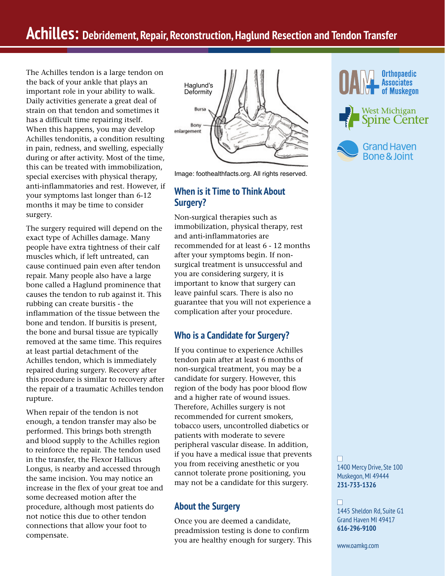# **Achilles: Debridement, Repair, Reconstruction, Haglund Resection and Tendon Transfer**

The Achilles tendon is a large tendon on the back of your ankle that plays an important role in your ability to walk. Daily activities generate a great deal of strain on that tendon and sometimes it has a difficult time repairing itself. When this happens, you may develop Achilles tendonitis, a condition resulting in pain, redness, and swelling, especially during or after activity. Most of the time, this can be treated with immobilization, special exercises with physical therapy, anti-inflammatories and rest. However, if your symptoms last longer than 6-12 months it may be time to consider surgery.

The surgery required will depend on the exact type of Achilles damage. Many people have extra tightness of their calf muscles which, if left untreated, can cause continued pain even after tendon repair. Many people also have a large bone called a Haglund prominence that causes the tendon to rub against it. This rubbing can create bursitis - the inflammation of the tissue between the bone and tendon. If bursitis is present, the bone and bursal tissue are typically removed at the same time. This requires at least partial detachment of the Achilles tendon, which is immediately repaired during surgery. Recovery after this procedure is similar to recovery after the repair of a traumatic Achilles tendon rupture.

When repair of the tendon is not enough, a tendon transfer may also be performed. This brings both strength and blood supply to the Achilles region to reinforce the repair. The tendon used in the transfer, the Flexor Hallicus Longus, is nearby and accessed through the same incision. You may notice an increase in the flex of your great toe and some decreased motion after the procedure, although most patients do not notice this due to other tendon connections that allow your foot to compensate.



Image: foothealthfacts.org. All rights reserved.

### **When is it Time to Think About Surgery?**

Non-surgical therapies such as immobilization, physical therapy, rest and anti-inflammatories are recommended for at least 6 - 12 months after your symptoms begin. If nonsurgical treatment is unsuccessful and you are considering surgery, it is important to know that surgery can leave painful scars. There is also no guarantee that you will not experience a complication after your procedure.

#### **Who is a Candidate for Surgery?**

If you continue to experience Achilles tendon pain after at least 6 months of non-surgical treatment, you may be a candidate for surgery. However, this region of the body has poor blood flow and a higher rate of wound issues. Therefore, Achilles surgery is not recommended for current smokers, tobacco users, uncontrolled diabetics or patients with moderate to severe peripheral vascular disease. In addition, if you have a medical issue that prevents you from receiving anesthetic or you cannot tolerate prone positioning, you may not be a candidate for this surgery.

#### **About the Surgery**

Once you are deemed a candidate, preadmission testing is done to confirm you are healthy enough for surgery. This







n 1400 Mercy Drive, Ste 100 Muskegon, MI 49444 **231-733-1326**

#### n

1445 Sheldon Rd, Suite G1 Grand Haven MI 49417 **616-296-9100**

www.oamkg.com